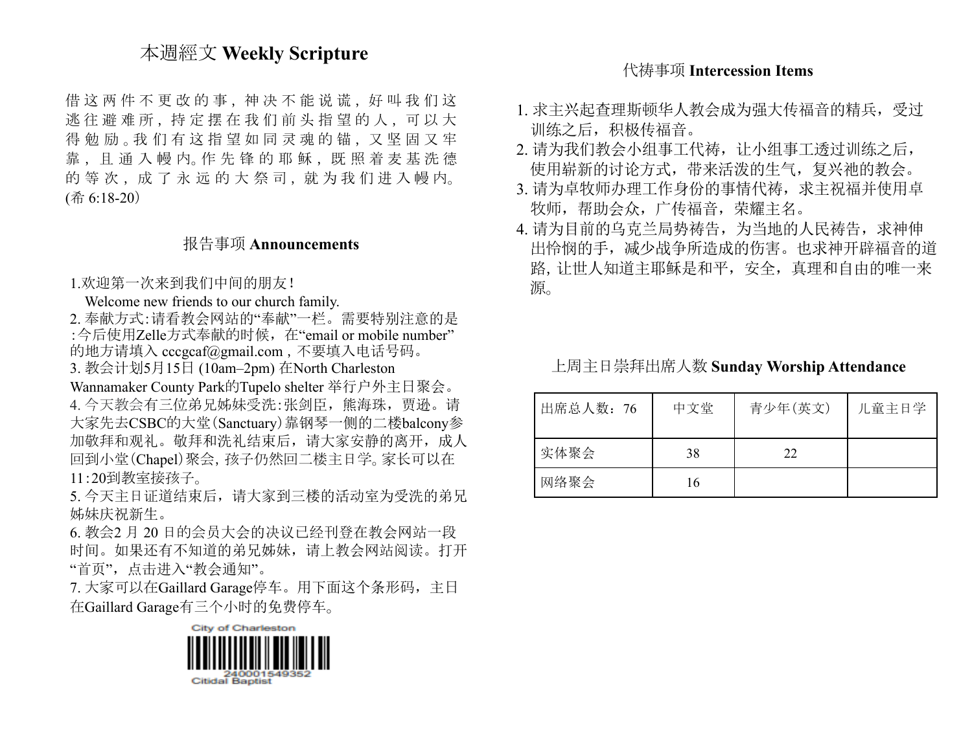## 本週經文 **Weekly Scripture**

借这两件不更改的事, 神决不能说谎, 好叫我们这 逃往避难所, 持定摆在我们前头指望的人, 可以大 得勉励。我们有这指望如同灵魂的锚,又坚固又牢 靠 , 且 通 入 幔 内。作 先 锋 的 耶 稣 , 既 照 着 麦 基 洗 德 的 等 次, 成 了 永 远 的 大 祭 司, 就 为 我 们 进 入 幔 内。 (希 6:18-20)

### 报告事项 **Announcements**

1.欢迎第一次来到我们中间的朋友!

Welcome new friends to our church family.

2. 奉献方式:请看教会网站的"奉献"一栏。需要特别注意的是 :今后使用Zelle方式奉献的时候,在"email or mobile number" 的地方请填入 [cccgcaf@gmail.com](mailto:cccgcaf@gmail.com) ,不要填入电话号码。

3. 教会计划5月15日 (10am–2pm) 在North Charleston

Wannamaker County Park的Tupelo shelter 举行户外主日聚会。 4. 今天教会有三位弟兄姊妹受洗:张剑臣,熊海珠,贾逊。请 大家先去CSBC的大堂(Sanctuary)靠钢琴一侧的二楼balcony参 加敬拜和观礼。敬拜和洗礼结束后,请大家安静的离开,成人 回到小堂(Chapel)聚会,孩子仍然回二楼主日学。家长可以在 11:20到教室接孩子。

5. 今天主日证道结束后,请大家到三楼的活动室为受洗的弟兄 姊妹庆祝新生。

6. 教会2 月 20 日的会员大会的决议已经刊登在教会网站一段 时间。如果还有不知道的弟兄姊妹,请上教会网站阅读。打开 "首页",点击进入"教会通知"。

7. 大家可以在Gaillard Garage停车。用下面这个条形码,主日 在Gaillard Garage有三个小时的免费停车。

City of Charleston

### 代祷事项 **Intercession Items**

- 1. 求主兴起查理斯顿华人教会成为强大传福音的精兵,受过 训练之后,积极传福音。
- 2. 请为我们教会小组事工代祷,让小组事工透过训练之后, 使用崭新的讨论方式,带来活泼的生气,复兴祂的教会。
- 3. 请为卓牧师办理工作身份的事情代祷,求主祝福并使用卓 牧师,帮助会众,广传福音,荣耀主名。
- 4. 请为目前的乌克兰局势祷告,为当地的人民祷告,求神伸 出怜悯的手,减少战争所造成的伤害。也求神开辟福音的道 路,让世人知道主耶稣是和平,安全,真理和自由的唯一来 源。

上周主日崇拜出席人数 **Sunday Worship Attendance**

| 出席总人数: 76 | 中文堂 | 青少年(英文) | 儿童主日学 |
|-----------|-----|---------|-------|
| 实体聚会      | 38  | 22      |       |
| 网络聚会      | 16  |         |       |